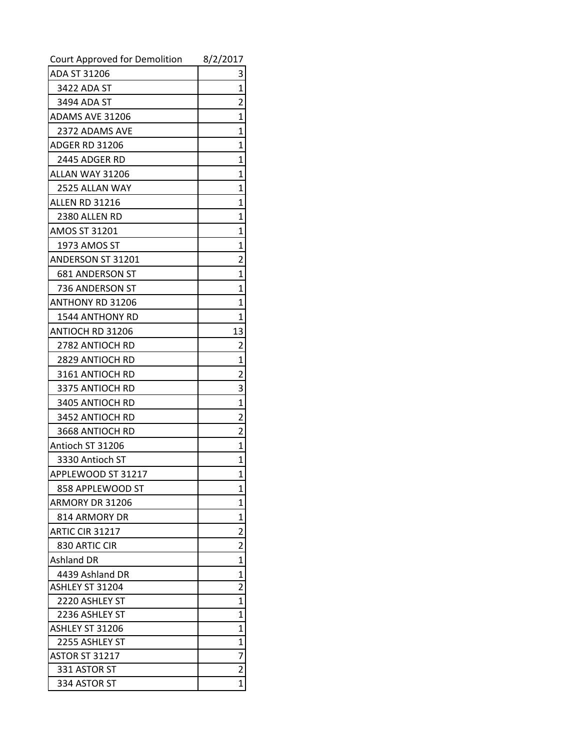| Court Approved for Demolition | 8/2/2017                |
|-------------------------------|-------------------------|
| ADA ST 31206                  | 3                       |
| 3422 ADA ST                   | 1                       |
| 3494 ADA ST                   | $\overline{2}$          |
| ADAMS AVE 31206               | 1                       |
| 2372 ADAMS AVE                | 1                       |
| <b>ADGER RD 31206</b>         | 1                       |
| 2445 ADGER RD                 | 1                       |
| ALLAN WAY 31206               | 1                       |
| 2525 ALLAN WAY                | 1                       |
| <b>ALLEN RD 31216</b>         | 1                       |
| 2380 ALLEN RD                 | 1                       |
| AMOS ST 31201                 | 1                       |
| 1973 AMOS ST                  | 1                       |
| <b>ANDERSON ST 31201</b>      | $\overline{2}$          |
| <b>681 ANDERSON ST</b>        | 1                       |
| 736 ANDERSON ST               | 1                       |
| <b>ANTHONY RD 31206</b>       | 1                       |
| 1544 ANTHONY RD               | 1                       |
| ANTIOCH RD 31206              | 13                      |
| 2782 ANTIOCH RD               | 2                       |
| 2829 ANTIOCH RD               | 1                       |
| 3161 ANTIOCH RD               | 2                       |
| 3375 ANTIOCH RD               | 3                       |
| 3405 ANTIOCH RD               | 1                       |
| 3452 ANTIOCH RD               | 2                       |
| 3668 ANTIOCH RD               | $\overline{2}$          |
| Antioch ST 31206              | 1                       |
| 3330 Antioch ST               | 1                       |
| APPLEWOOD ST 31217            | 1                       |
| 858 APPLEWOOD ST              | 1                       |
| ARMORY DR 31206               | 1                       |
| 814 ARMORY DR                 | 1                       |
| ARTIC CIR 31217               | $\overline{\mathbf{c}}$ |
| 830 ARTIC CIR                 | 2                       |
| <b>Ashland DR</b>             | 1                       |
| 4439 Ashland DR               | 1                       |
| ASHLEY ST 31204               | $\overline{2}$          |
| 2220 ASHLEY ST                | $\overline{1}$          |
| 2236 ASHLEY ST                | 1                       |
| ASHLEY ST 31206               | 1                       |
| 2255 ASHLEY ST                | 1                       |
| <b>ASTOR ST 31217</b>         | 7                       |
| 331 ASTOR ST                  | $\overline{\mathbf{c}}$ |
| 334 ASTOR ST                  | $\overline{1}$          |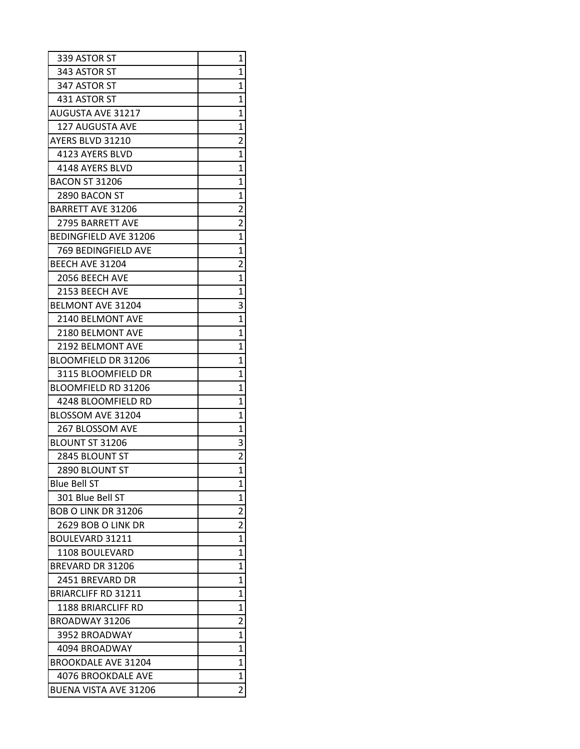| 339 ASTOR ST                 | 1                       |
|------------------------------|-------------------------|
| 343 ASTOR ST                 | 1                       |
| 347 ASTOR ST                 | 1                       |
| 431 ASTOR ST                 | 1                       |
| <b>AUGUSTA AVE 31217</b>     | $\overline{1}$          |
| <b>127 AUGUSTA AVE</b>       | 1                       |
| AYERS BLVD 31210             | $\overline{2}$          |
| 4123 AYERS BLVD              | $\overline{1}$          |
| 4148 AYERS BLVD              | $\overline{1}$          |
| <b>BACON ST 31206</b>        | 1                       |
| 2890 BACON ST                | $\mathbf{1}$            |
| <b>BARRETT AVE 31206</b>     | $\overline{2}$          |
| <b>2795 BARRETT AVE</b>      | $\overline{2}$          |
| <b>BEDINGFIELD AVE 31206</b> | $\overline{1}$          |
| 769 BEDINGFIELD AVE          | $\mathbf{1}$            |
| BEECH AVE 31204              | $\overline{2}$          |
| 2056 BEECH AVE               | $\mathbf{1}$            |
| 2153 BEECH AVE               | 1                       |
| <b>BELMONT AVE 31204</b>     | 3                       |
| 2140 BELMONT AVE             | $\overline{1}$          |
| 2180 BELMONT AVE             | $\overline{1}$          |
| 2192 BELMONT AVE             | 1                       |
| <b>BLOOMFIELD DR 31206</b>   | 1                       |
| 3115 BLOOMFIELD DR           | 1                       |
| BLOOMFIELD RD 31206          | 1                       |
| 4248 BLOOMFIELD RD           | $\overline{1}$          |
| BLOSSOM AVE 31204            | $\overline{1}$          |
| 267 BLOSSOM AVE              | 1                       |
| BLOUNT ST 31206              | 3                       |
| 2845 BLOUNT ST               | $\overline{\mathbf{c}}$ |
| 2890 BLOUNT ST               | $\overline{1}$          |
| <b>Blue Bell ST</b>          | 1                       |
| 301 Blue Bell ST             | 1                       |
| <b>BOB O LINK DR 31206</b>   | $\overline{c}$          |
| 2629 BOB O LINK DR           | $\overline{2}$          |
| BOULEVARD 31211              | 1                       |
| 1108 BOULEVARD               | 1                       |
| <b>BREVARD DR 31206</b>      | 1                       |
| 2451 BREVARD DR              | 1                       |
| <b>BRIARCLIFF RD 31211</b>   | 1                       |
| <b>1188 BRIARCLIFF RD</b>    | 1                       |
| BROADWAY 31206               | $\overline{c}$          |
| 3952 BROADWAY                | $\overline{1}$          |
| 4094 BROADWAY                | 1                       |
| <b>BROOKDALE AVE 31204</b>   | 1                       |
| 4076 BROOKDALE AVE           | 1                       |
| BUENA VISTA AVE 31206        | $\overline{2}$          |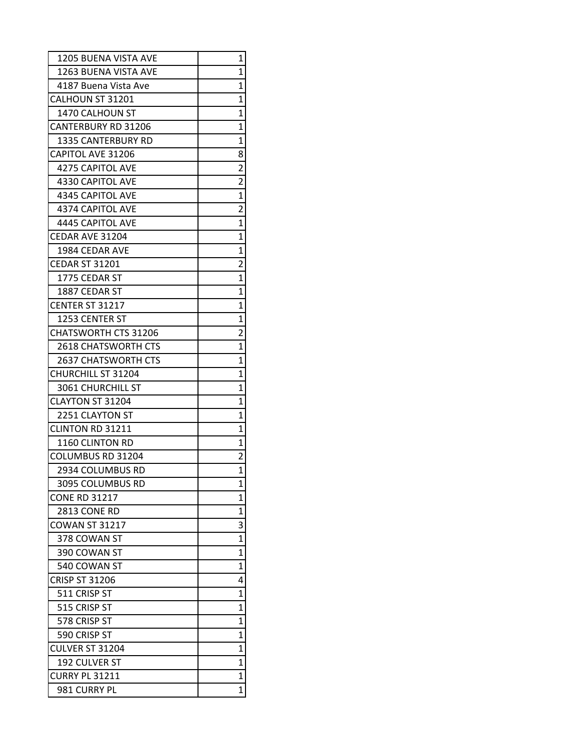| 1205 BUENA VISTA AVE        | 1                       |
|-----------------------------|-------------------------|
| 1263 BUENA VISTA AVE        | 1                       |
| 4187 Buena Vista Ave        | 1                       |
| CALHOUN ST 31201            | 1                       |
| 1470 CALHOUN ST             | 1                       |
| <b>CANTERBURY RD 31206</b>  | 1                       |
| <b>1335 CANTERBURY RD</b>   | $\overline{1}$          |
| <b>CAPITOL AVE 31206</b>    | 8                       |
| <b>4275 CAPITOL AVE</b>     | $\overline{2}$          |
| 4330 CAPITOL AVE            | 2                       |
| 4345 CAPITOL AVE            | $\overline{1}$          |
| <b>4374 CAPITOL AVE</b>     | $\overline{2}$          |
| 4445 CAPITOL AVE            | 1                       |
| CEDAR AVE 31204             | 1                       |
| 1984 CEDAR AVE              | 1                       |
| <b>CEDAR ST 31201</b>       | $\overline{c}$          |
| 1775 CEDAR ST               | 1                       |
| 1887 CEDAR ST               | 1                       |
| CENTER ST 31217             | 1                       |
| 1253 CENTER ST              | 1                       |
| <b>CHATSWORTH CTS 31206</b> | $\overline{c}$          |
| <b>2618 CHATSWORTH CTS</b>  | 1                       |
| <b>2637 CHATSWORTH CTS</b>  | $\mathbf{1}$            |
| <b>CHURCHILL ST 31204</b>   | 1                       |
| 3061 CHURCHILL ST           | 1                       |
| <b>CLAYTON ST 31204</b>     | 1                       |
| 2251 CLAYTON ST             | 1                       |
| CLINTON RD 31211            | 1                       |
| 1160 CLINTON RD             | 1                       |
| COLUMBUS RD 31204           | $\overline{\mathbf{c}}$ |
| 2934 COLUMBUS RD            | $\overline{1}$          |
| 3095 COLUMBUS RD            | 1                       |
| <b>CONE RD 31217</b>        | 1                       |
| 2813 CONE RD                | 1                       |
| <b>COWAN ST 31217</b>       | 3                       |
| 378 COWAN ST                | $\overline{1}$          |
| 390 COWAN ST                | 1                       |
| 540 COWAN ST                | $\overline{1}$          |
| <b>CRISP ST 31206</b>       | 4                       |
| 511 CRISP ST                | 1                       |
| 515 CRISP ST                | 1                       |
| 578 CRISP ST                | 1                       |
| 590 CRISP ST                | 1                       |
| CULVER ST 31204             | 1                       |
| 192 CULVER ST               | 1                       |
| <b>CURRY PL 31211</b>       | 1                       |
| 981 CURRY PL                | $\overline{1}$          |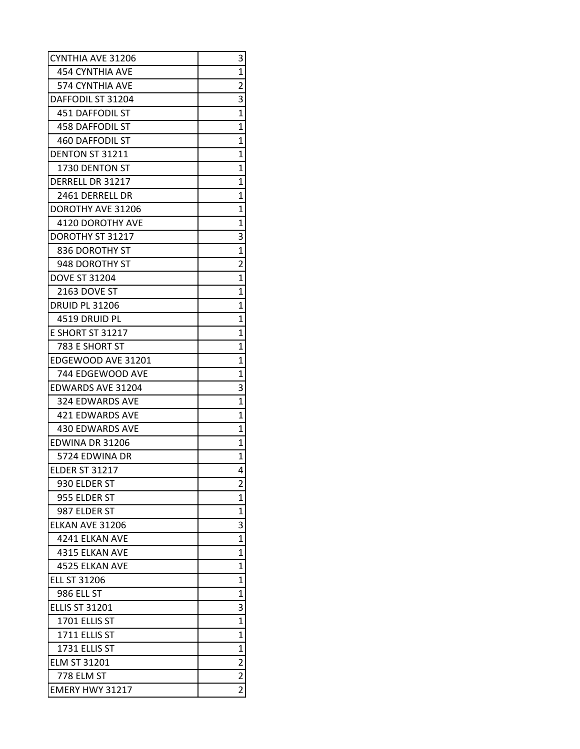| <b>CYNTHIA AVE 31206</b> | 3                       |
|--------------------------|-------------------------|
| 454 CYNTHIA AVE          | 1                       |
| 574 CYNTHIA AVE          | $\overline{2}$          |
| DAFFODIL ST 31204        | 3                       |
| <b>451 DAFFODIL ST</b>   | 1                       |
| <b>458 DAFFODIL ST</b>   | $\overline{1}$          |
| <b>460 DAFFODIL ST</b>   | $\overline{1}$          |
| DENTON ST 31211          | 1                       |
| 1730 DENTON ST           | 1                       |
| <b>DERRELL DR 31217</b>  | 1                       |
| 2461 DERRELL DR          | 1                       |
| DOROTHY AVE 31206        | 1                       |
| 4120 DOROTHY AVE         | 1                       |
| DOROTHY ST 31217         | 3                       |
| 836 DOROTHY ST           | 1                       |
| 948 DOROTHY ST           | $\overline{2}$          |
| <b>DOVE ST 31204</b>     | $\overline{1}$          |
| 2163 DOVE ST             | 1                       |
| <b>DRUID PL 31206</b>    | 1                       |
| 4519 DRUID PL            | 1                       |
| <b>E SHORT ST 31217</b>  | 1                       |
| 783 E SHORT ST           | 1                       |
| EDGEWOOD AVE 31201       | $\mathbf{1}$            |
| 744 EDGEWOOD AVE         | 1                       |
| <b>EDWARDS AVE 31204</b> | 3                       |
| 324 EDWARDS AVE          | 1                       |
| <b>421 EDWARDS AVE</b>   | 1                       |
| <b>430 EDWARDS AVE</b>   | 1                       |
| EDWINA DR 31206          | 1                       |
| 5724 EDWINA DR           | 1                       |
| <b>ELDER ST 31217</b>    | 4                       |
| 930 ELDER ST             | 2                       |
| 955 ELDER ST             | 1                       |
| 987 ELDER ST             | 1                       |
| ELKAN AVE 31206          | 3                       |
| 4241 ELKAN AVE           | $\overline{1}$          |
| 4315 ELKAN AVE           | 1                       |
| 4525 ELKAN AVE           | $\overline{1}$          |
| <b>ELL ST 31206</b>      | 1                       |
| 986 ELL ST               | 1                       |
| <b>ELLIS ST 31201</b>    | 3                       |
| 1701 ELLIS ST            | $\overline{1}$          |
| 1711 ELLIS ST            | 1                       |
| 1731 ELLIS ST            | $\overline{1}$          |
| <b>ELM ST 31201</b>      | $\overline{\mathbf{c}}$ |
| 778 ELM ST               | $\overline{2}$          |
| EMERY HWY 31217          | $\overline{2}$          |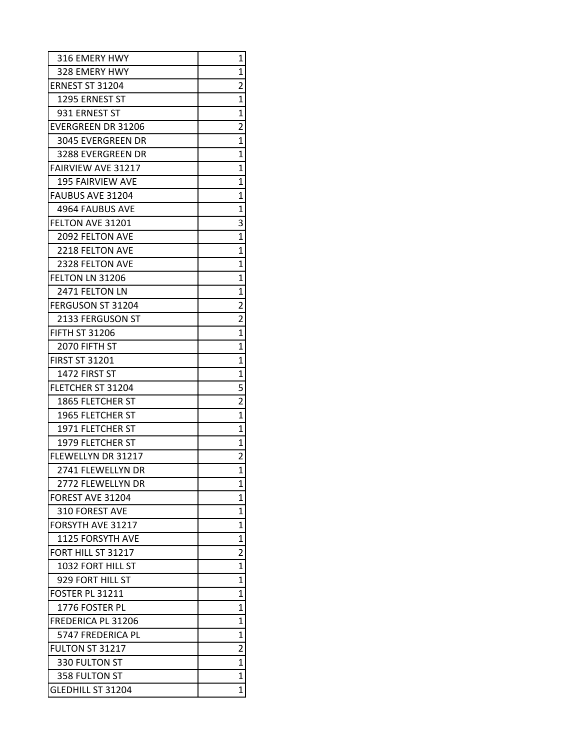| 316 EMERY HWY             | 1              |
|---------------------------|----------------|
| 328 EMERY HWY             | 1              |
| ERNEST ST 31204           | 2              |
| 1295 ERNEST ST            | 1              |
| 931 ERNEST ST             | $\overline{1}$ |
| <b>EVERGREEN DR 31206</b> | $\overline{2}$ |
| 3045 EVERGREEN DR         | $\overline{1}$ |
| 3288 EVERGREEN DR         | 1              |
| <b>FAIRVIEW AVE 31217</b> | 1              |
| <b>195 FAIRVIEW AVE</b>   | 1              |
| FAUBUS AVE 31204          | $\overline{1}$ |
| 4964 FAUBUS AVE           | $\overline{1}$ |
| <b>FELTON AVE 31201</b>   | 3              |
| 2092 FELTON AVE           | 1              |
| 2218 FELTON AVE           | 1              |
| <b>2328 FELTON AVE</b>    | 1              |
| FELTON LN 31206           | 1              |
| 2471 FELTON LN            | 1              |
| FERGUSON ST 31204         | $\overline{2}$ |
| 2133 FERGUSON ST          | $\overline{2}$ |
| <b>FIFTH ST 31206</b>     | $\overline{1}$ |
| 2070 FIFTH ST             | $\overline{1}$ |
| <b>FIRST ST 31201</b>     | 1              |
| 1472 FIRST ST             | 1              |
| FLETCHER ST 31204         | 5              |
| 1865 FLETCHER ST          | $\overline{2}$ |
| 1965 FLETCHER ST          | $\overline{1}$ |
| 1971 FLETCHER ST          | 1              |
| 1979 FLETCHER ST          | 1              |
| FLEWELLYN DR 31217        | $\overline{c}$ |
| 2741 FLEWELLYN DR         | $\overline{1}$ |
| 2772 FLEWELLYN DR         | 1              |
| FOREST AVE 31204          | 1              |
| 310 FOREST AVE            | 1              |
| FORSYTH AVE 31217         | 1              |
| <b>1125 FORSYTH AVE</b>   | 1              |
| FORT HILL ST 31217        | 2              |
| 1032 FORT HILL ST         | $\overline{1}$ |
| 929 FORT HILL ST          | 1              |
| <b>FOSTER PL 31211</b>    | 1              |
| 1776 FOSTER PL            | 1              |
| <b>FREDERICA PL 31206</b> | 1              |
| 5747 FREDERICA PL         | 1              |
| <b>FULTON ST 31217</b>    | 2              |
| 330 FULTON ST             | 1              |
| 358 FULTON ST             | 1              |
| <b>GLEDHILL ST 31204</b>  | 1              |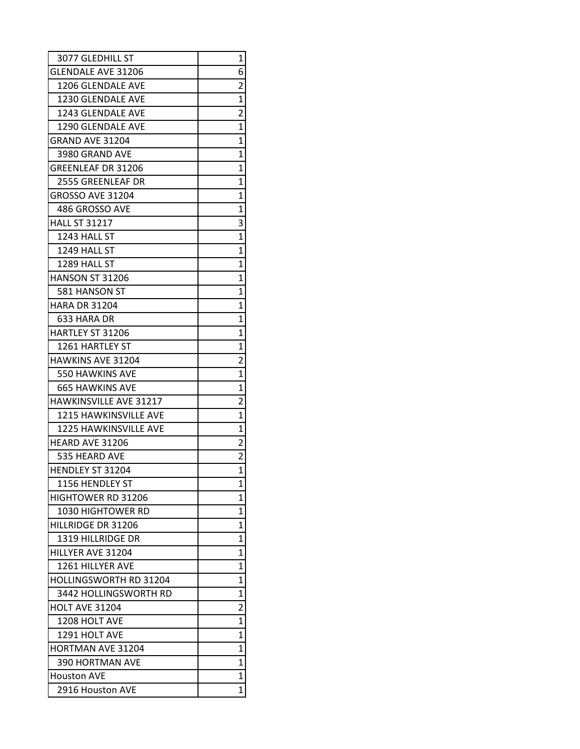| 3077 GLEDHILL ST              | 1                       |
|-------------------------------|-------------------------|
| <b>GLENDALE AVE 31206</b>     | 6                       |
| 1206 GLENDALE AVE             | 2                       |
| 1230 GLENDALE AVE             | 1                       |
| 1243 GLENDALE AVE             | $\overline{2}$          |
| <b>1290 GLENDALE AVE</b>      | $\overline{1}$          |
| GRAND AVE 31204               | 1                       |
| 3980 GRAND AVE                | 1                       |
| <b>GREENLEAF DR 31206</b>     | 1                       |
| 2555 GREENLEAF DR             | 1                       |
| <b>GROSSO AVE 31204</b>       | 1                       |
| 486 GROSSO AVE                | 1                       |
| <b>HALL ST 31217</b>          | 3                       |
| 1243 HALL ST                  | 1                       |
| 1249 HALL ST                  | 1                       |
| 1289 HALL ST                  | 1                       |
| <b>HANSON ST 31206</b>        | 1                       |
| 581 HANSON ST                 | 1                       |
| <b>HARA DR 31204</b>          | 1                       |
| 633 HARA DR                   | 1                       |
| HARTLEY ST 31206              | 1                       |
| 1261 HARTLEY ST               | 1                       |
| <b>HAWKINS AVE 31204</b>      | $\overline{\mathbf{c}}$ |
| <b>550 HAWKINS AVE</b>        | $\overline{1}$          |
| <b>665 HAWKINS AVE</b>        | $\overline{1}$          |
| <b>HAWKINSVILLE AVE 31217</b> | $\overline{2}$          |
| <b>1215 HAWKINSVILLE AVE</b>  | $\overline{1}$          |
| <b>1225 HAWKINSVILLE AVE</b>  | 1                       |
| <b>HEARD AVE 31206</b>        | 2                       |
| 535 HEARD AVE                 | $\overline{\mathbf{c}}$ |
| HENDLEY ST 31204              | $\overline{1}$          |
| 1156 HENDLEY ST               | 1                       |
| <b>HIGHTOWER RD 31206</b>     | 1                       |
| <b>1030 HIGHTOWER RD</b>      | 1                       |
| HILLRIDGE DR 31206            | 1                       |
| 1319 HILLRIDGE DR             | 1                       |
| HILLYER AVE 31204             | 1                       |
| 1261 HILLYER AVE              | 1                       |
| <b>HOLLINGSWORTH RD 31204</b> | 1                       |
| 3442 HOLLINGSWORTH RD         | 1                       |
| <b>HOLT AVE 31204</b>         | 2                       |
| <b>1208 HOLT AVE</b>          | 1                       |
| 1291 HOLT AVE                 | 1                       |
| <b>HORTMAN AVE 31204</b>      | 1                       |
| <b>390 HORTMAN AVE</b>        | 1                       |
| <b>Houston AVE</b>            | 1                       |
| 2916 Houston AVE              | 1                       |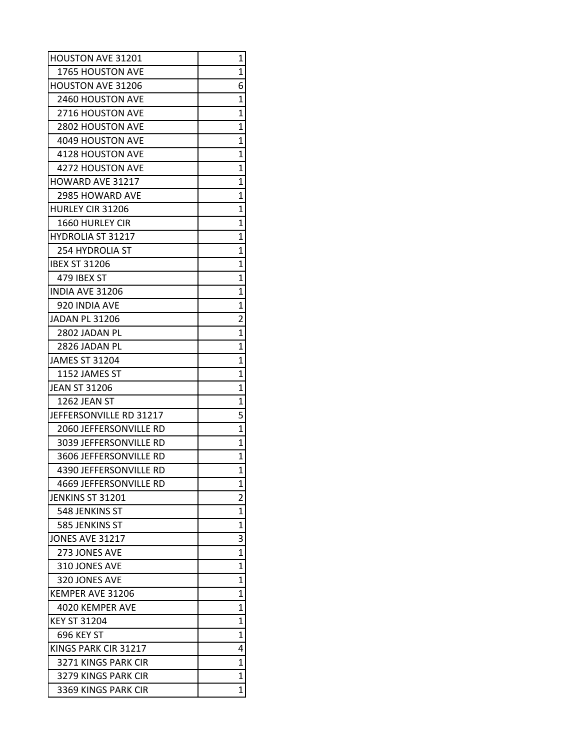| HOUSTON AVE 31201             | 1              |
|-------------------------------|----------------|
| 1765 HOUSTON AVE              | 1              |
| <b>HOUSTON AVE 31206</b>      | 6              |
| <b>2460 HOUSTON AVE</b>       | 1              |
| <b>2716 HOUSTON AVE</b>       | 1              |
| <b>2802 HOUSTON AVE</b>       | 1              |
| 4049 HOUSTON AVE              | 1              |
| 4128 HOUSTON AVE              | 1              |
| 4272 HOUSTON AVE              | 1              |
| <b>HOWARD AVE 31217</b>       | 1              |
| <b>2985 HOWARD AVE</b>        | 1              |
| HURLEY CIR 31206              | $\overline{1}$ |
| <b>1660 HURLEY CIR</b>        | 1              |
| HYDROLIA ST 31217             | 1              |
| <b>254 HYDROLIA ST</b>        | 1              |
| <b>IBEX ST 31206</b>          | $\mathbf{1}$   |
| 479 IBEX ST                   | 1              |
| <b>INDIA AVE 31206</b>        | 1              |
| 920 INDIA AVE                 | 1              |
| <b>JADAN PL 31206</b>         | $\overline{2}$ |
| 2802 JADAN PL                 | 1              |
| 2826 JADAN PL                 | $\overline{1}$ |
| <b>JAMES ST 31204</b>         | 1              |
| 1152 JAMES ST                 | 1              |
| <b>JEAN ST 31206</b>          | 1              |
| 1262 JEAN ST                  | 1              |
| JEFFERSONVILLE RD 31217       | 5              |
| 2060 JEFFERSONVILLE RD        | 1              |
| 3039 JEFFERSONVILLE RD        | 1              |
| 3606 JEFFERSONVILLE RD        | 1              |
| <b>4390 JEFFERSONVILLE RD</b> | $\overline{1}$ |
| 4669 JEFFERSONVILLE RD        | 1              |
| JENKINS ST 31201              | $\overline{2}$ |
| 548 JENKINS ST                | 1              |
| 585 JENKINS ST                | 1              |
| <b>JONES AVE 31217</b>        | 3              |
| 273 JONES AVE                 | 1              |
| 310 JONES AVE                 | $\overline{1}$ |
| 320 JONES AVE                 | 1              |
| KEMPER AVE 31206              | 1              |
| 4020 KEMPER AVE               | 1              |
| <b>KEY ST 31204</b>           | 1              |
| 696 KEY ST                    | 1              |
| KINGS PARK CIR 31217          | 4              |
| 3271 KINGS PARK CIR           | 1              |
| 3279 KINGS PARK CIR           | 1              |
| 3369 KINGS PARK CIR           | 1              |
|                               |                |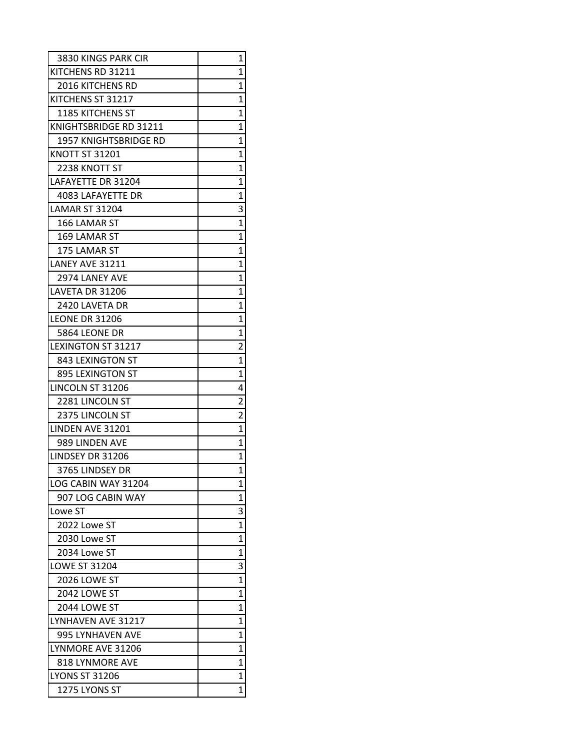| 3830 KINGS PARK CIR       | 1              |
|---------------------------|----------------|
| KITCHENS RD 31211         | 1              |
| <b>2016 KITCHENS RD</b>   | 1              |
| KITCHENS ST 31217         | 1              |
| <b>1185 KITCHENS ST</b>   | 1              |
| KNIGHTSBRIDGE RD 31211    | $\overline{1}$ |
| 1957 KNIGHTSBRIDGE RD     | $\overline{1}$ |
| <b>KNOTT ST 31201</b>     | 1              |
| 2238 KNOTT ST             | 1              |
| LAFAYETTE DR 31204        | 1              |
| <b>4083 LAFAYETTE DR</b>  | 1              |
| <b>LAMAR ST 31204</b>     | 3              |
| 166 LAMAR ST              | $\overline{1}$ |
| 169 LAMAR ST              | 1              |
| 175 LAMAR ST              | 1              |
| LANEY AVE 31211           | 1              |
| 2974 LANEY AVE            | 1              |
| LAVETA DR 31206           | 1              |
| 2420 LAVETA DR            | 1              |
| <b>LEONE DR 31206</b>     | 1              |
| 5864 LEONE DR             | 1              |
| <b>LEXINGTON ST 31217</b> | $\overline{2}$ |
| 843 LEXINGTON ST          | 1              |
| 895 LEXINGTON ST          | $\overline{1}$ |
| LINCOLN ST 31206          | 4              |
| 2281 LINCOLN ST           | $\overline{2}$ |
| 2375 LINCOLN ST           | $\overline{2}$ |
| LINDEN AVE 31201          | $\overline{1}$ |
| 989 LINDEN AVE            | $\overline{1}$ |
| LINDSEY DR 31206          | 1              |
| 3765 LINDSEY DR           | $\overline{1}$ |
| LOG CABIN WAY 31204       | 1              |
| 907 LOG CABIN WAY         | 1              |
| Lowe ST                   | 3              |
| 2022 Lowe ST              | 1              |
| 2030 Lowe ST              | $\overline{1}$ |
| 2034 Lowe ST              | $\overline{1}$ |
| <b>LOWE ST 31204</b>      | 3              |
| 2026 LOWE ST              | $\overline{1}$ |
| 2042 LOWE ST              | $\overline{1}$ |
| 2044 LOWE ST              | 1              |
| LYNHAVEN AVE 31217        | $\overline{1}$ |
| 995 LYNHAVEN AVE          | 1              |
| LYNMORE AVE 31206         | $\overline{1}$ |
| 818 LYNMORE AVE           | 1              |
| <b>LYONS ST 31206</b>     | 1              |
| 1275 LYONS ST             | $\overline{1}$ |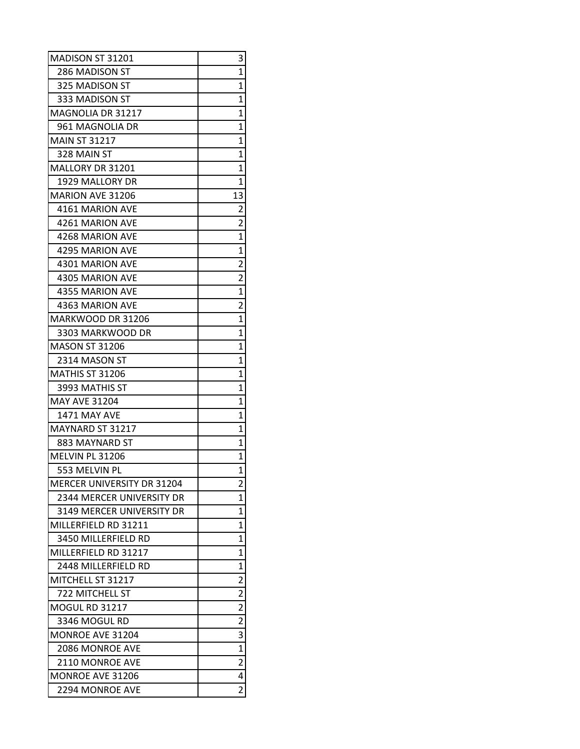| MADISON ST 31201                  | 3                       |
|-----------------------------------|-------------------------|
| 286 MADISON ST                    | 1                       |
| 325 MADISON ST                    | 1                       |
| 333 MADISON ST                    | 1                       |
| <b>MAGNOLIA DR 31217</b>          | 1                       |
| 961 MAGNOLIA DR                   | 1                       |
| <b>MAIN ST 31217</b>              | $\overline{1}$          |
| 328 MAIN ST                       | 1                       |
| MALLORY DR 31201                  | 1                       |
| 1929 MALLORY DR                   | $\overline{1}$          |
| <b>MARION AVE 31206</b>           | 13                      |
| 4161 MARION AVE                   | $\overline{2}$          |
| 4261 MARION AVE                   | $\overline{2}$          |
| 4268 MARION AVE                   | $\overline{1}$          |
| 4295 MARION AVE                   | $\mathbf{1}$            |
| 4301 MARION AVE                   | $\overline{\mathbf{c}}$ |
| 4305 MARION AVE                   | $\overline{2}$          |
| 4355 MARION AVE                   | $\overline{1}$          |
| 4363 MARION AVE                   | $\overline{2}$          |
| MARKWOOD DR 31206                 | $\overline{1}$          |
| 3303 MARKWOOD DR                  | $\overline{1}$          |
| <b>MASON ST 31206</b>             | 1                       |
| 2314 MASON ST                     | 1                       |
| <b>MATHIS ST 31206</b>            | 1                       |
| 3993 MATHIS ST                    | 1                       |
| <b>MAY AVE 31204</b>              | $\overline{1}$          |
| 1471 MAY AVE                      | 1                       |
| MAYNARD ST 31217                  | 1                       |
| 883 MAYNARD ST                    | 1                       |
| MELVIN PL 31206                   | 1                       |
| 553 MELVIN PL                     | $\overline{1}$          |
| <b>MERCER UNIVERSITY DR 31204</b> | 2                       |
| 2344 MERCER UNIVERSITY DR         | 1                       |
| 3149 MERCER UNIVERSITY DR         | 1                       |
| MILLERFIELD RD 31211              | 1                       |
| 3450 MILLERFIELD RD               | 1                       |
| MILLERFIELD RD 31217              | 1                       |
| 2448 MILLERFIELD RD               | $\overline{1}$          |
| MITCHELL ST 31217                 | 2                       |
| 722 MITCHELL ST                   | $\overline{\mathbf{c}}$ |
| <b>MOGUL RD 31217</b>             | $\overline{c}$          |
| 3346 MOGUL RD                     | $\overline{\mathbf{c}}$ |
| <b>MONROE AVE 31204</b>           | 3                       |
| 2086 MONROE AVE                   | $\overline{1}$          |
| 2110 MONROE AVE                   | $\overline{2}$          |
| <b>MONROE AVE 31206</b>           | 4                       |
| 2294 MONROE AVE                   | $\overline{2}$          |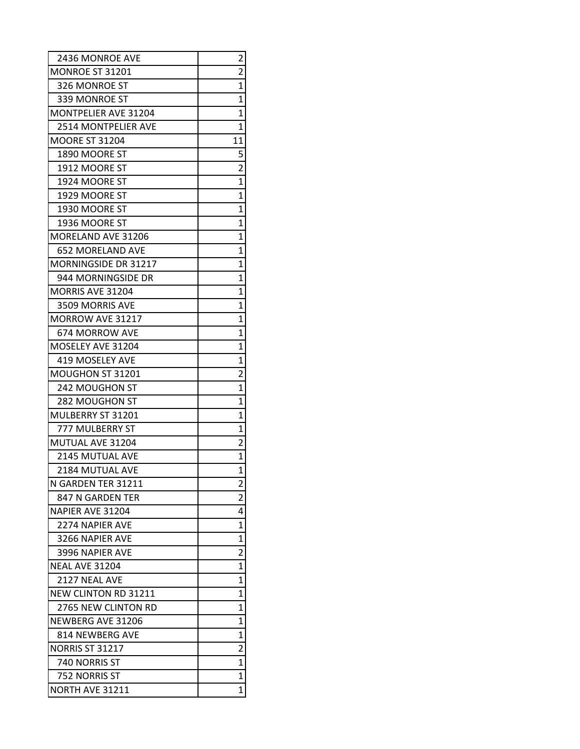| 2436 MONROE AVE             | 2              |
|-----------------------------|----------------|
| MONROE ST 31201             | 2              |
| 326 MONROE ST               | 1              |
| 339 MONROE ST               | 1              |
| <b>MONTPELIER AVE 31204</b> | 1              |
| <b>2514 MONTPELIER AVE</b>  | $\overline{1}$ |
| <b>MOORE ST 31204</b>       | 11             |
| 1890 MOORE ST               | 5              |
| 1912 MOORE ST               | $\overline{2}$ |
| 1924 MOORE ST               | $\overline{1}$ |
| 1929 MOORE ST               | 1              |
| 1930 MOORE ST               | 1              |
| 1936 MOORE ST               | 1              |
| MORELAND AVE 31206          | 1              |
| 652 MORELAND AVE            | 1              |
| <b>MORNINGSIDE DR 31217</b> | 1              |
| 944 MORNINGSIDE DR          | 1              |
| MORRIS AVE 31204            | 1              |
| 3509 MORRIS AVE             | 1              |
| <b>MORROW AVE 31217</b>     | 1              |
| 674 MORROW AVE              | 1              |
| MOSELEY AVE 31204           | 1              |
| <b>419 MOSELEY AVE</b>      | 1              |
| MOUGHON ST 31201            | $\overline{c}$ |
| 242 MOUGHON ST              | $\overline{1}$ |
| 282 MOUGHON ST              | 1              |
| MULBERRY ST 31201           | 1              |
| 777 MULBERRY ST             | 1              |
| MUTUAL AVE 31204            | 2              |
| 2145 MUTUAL AVE             | 1              |
| 2184 MUTUAL AVE             | $\overline{1}$ |
| N GARDEN TER 31211          | 2              |
| 847 N GARDEN TER            | 2              |
| NAPIER AVE 31204            | 4              |
| 2274 NAPIFR AVF             | 1              |
| 3266 NAPIER AVE             | 1              |
| 3996 NAPIER AVE             | $\overline{c}$ |
| <b>NEAL AVE 31204</b>       | 1              |
| 2127 NEAL AVE               | 1              |
| NEW CLINTON RD 31211        | 1              |
| 2765 NEW CLINTON RD         | 1              |
| NEWBERG AVE 31206           | 1              |
| 814 NEWBERG AVE             | 1              |
| <b>NORRIS ST 31217</b>      | $\overline{c}$ |
| 740 NORRIS ST               | 1              |
| 752 NORRIS ST               | 1              |
| NORTH AVE 31211             | 1              |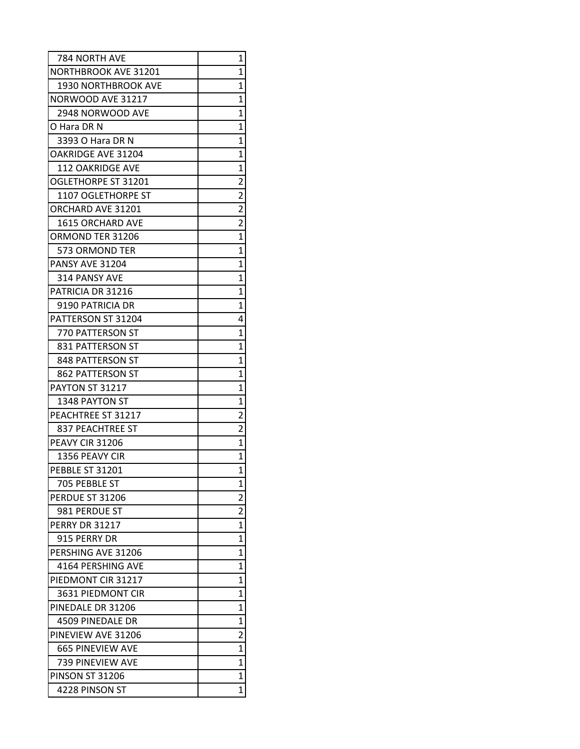| 784 NORTH AVE               | 1                       |
|-----------------------------|-------------------------|
| <b>NORTHBROOK AVE 31201</b> | 1                       |
| 1930 NORTHBROOK AVE         | 1                       |
| NORWOOD AVE 31217           | 1                       |
| 2948 NORWOOD AVE            | 1                       |
| O Hara DR N                 | 1                       |
| 3393 O Hara DR N            | 1                       |
| <b>OAKRIDGE AVE 31204</b>   | 1                       |
| <b>112 OAKRIDGE AVE</b>     | 1                       |
| OGLETHORPE ST 31201         | $\overline{2}$          |
| 1107 OGLETHORPE ST          | $\overline{\mathbf{c}}$ |
| ORCHARD AVE 31201           | $\overline{2}$          |
| <b>1615 ORCHARD AVE</b>     | $\overline{2}$          |
| ORMOND TER 31206            | 1                       |
| 573 ORMOND TER              | 1                       |
| PANSY AVE 31204             | 1                       |
| 314 PANSY AVE               | 1                       |
| PATRICIA DR 31216           | 1                       |
| 9190 PATRICIA DR            | 1                       |
| PATTERSON ST 31204          | 4                       |
| 770 PATTERSON ST            | $\overline{1}$          |
| 831 PATTERSON ST            | 1                       |
| 848 PATTERSON ST            | 1                       |
| 862 PATTERSON ST            | 1                       |
| PAYTON ST 31217             | 1                       |
| 1348 PAYTON ST              | 1                       |
| PEACHTREE ST 31217          | $\overline{c}$          |
| 837 PEACHTREE ST            | $\overline{c}$          |
| <b>PEAVY CIR 31206</b>      | $\overline{1}$          |
| 1356 PEAVY CIR              | 1                       |
| PEBBLE ST 31201             | $\overline{1}$          |
| 705 PEBBLE ST               | 1                       |
| PERDUE ST 31206             | 2                       |
| 981 PERDUE ST               | $\overline{2}$          |
| <b>PERRY DR 31217</b>       | 1                       |
| 915 PERRY DR                | 1                       |
| PERSHING AVE 31206          | 1                       |
| 4164 PERSHING AVE           | 1                       |
| PIEDMONT CIR 31217          | 1                       |
| 3631 PIEDMONT CIR           | 1                       |
| PINEDALE DR 31206           | 1                       |
| 4509 PINEDALE DR            | 1                       |
| PINEVIEW AVE 31206          | $\overline{c}$          |
| <b>665 PINEVIEW AVE</b>     | 1                       |
| 739 PINEVIEW AVE            | 1                       |
| <b>PINSON ST 31206</b>      | 1                       |
| 4228 PINSON ST              | 1                       |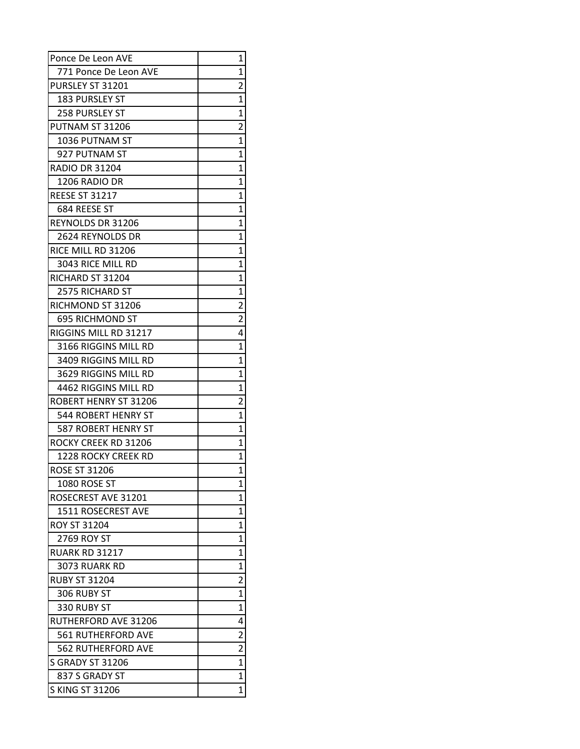| Ponce De Leon AVE           | 1                       |
|-----------------------------|-------------------------|
| 771 Ponce De Leon AVE       | 1                       |
| PURSLEY ST 31201            | $\overline{\mathbf{c}}$ |
| <b>183 PURSLEY ST</b>       | 1                       |
| <b>258 PURSLEY ST</b>       | $\overline{1}$          |
| PUTNAM ST 31206             | $\overline{c}$          |
| 1036 PUTNAM ST              | $\overline{1}$          |
| 927 PUTNAM ST               | $\mathbf{1}$            |
| <b>RADIO DR 31204</b>       | 1                       |
| 1206 RADIO DR               | 1                       |
| <b>REESE ST 31217</b>       | 1                       |
| 684 REESE ST                | $\overline{1}$          |
| <b>REYNOLDS DR 31206</b>    | $\overline{1}$          |
| 2624 REYNOLDS DR            | 1                       |
| RICE MILL RD 31206          | 1                       |
| 3043 RICE MILL RD           | 1                       |
| RICHARD ST 31204            | 1                       |
| 2575 RICHARD ST             | $\overline{1}$          |
| RICHMOND ST 31206           | $\overline{c}$          |
| <b>695 RICHMOND ST</b>      | $\overline{2}$          |
| RIGGINS MILL RD 31217       | 4                       |
| 3166 RIGGINS MILL RD        | $\overline{1}$          |
| 3409 RIGGINS MILL RD        | 1                       |
| 3629 RIGGINS MILL RD        | 1                       |
| 4462 RIGGINS MILL RD        | $\overline{1}$          |
| ROBERT HENRY ST 31206       | $\overline{2}$          |
| 544 ROBERT HENRY ST         | $\overline{1}$          |
| <b>587 ROBERT HENRY ST</b>  | 1                       |
| <b>ROCKY CREEK RD 31206</b> | 1                       |
| 1228 ROCKY CREEK RD         | 1                       |
| <b>ROSE ST 31206</b>        | $\overline{1}$          |
| 1080 ROSE ST                | 1                       |
| ROSECREST AVE 31201         | 1                       |
| 1511 ROSECREST AVE          | 1                       |
| ROY ST 31204                | 1                       |
| 2769 ROY ST                 | 1                       |
| <b>RUARK RD 31217</b>       | 1                       |
| 3073 RUARK RD               | $\overline{1}$          |
| <b>RUBY ST 31204</b>        | $\overline{2}$          |
| 306 RUBY ST                 | 1                       |
| 330 RUBY ST                 | $\overline{1}$          |
| <b>RUTHERFORD AVE 31206</b> | 4                       |
| 561 RUTHERFORD AVE          | $\overline{2}$          |
| <b>562 RUTHERFORD AVE</b>   | $\overline{2}$          |
| <b>S GRADY ST 31206</b>     | $\overline{1}$          |
| 837 S GRADY ST              | $\mathbf{1}$            |
| <b>S KING ST 31206</b>      | $\mathbf 1$             |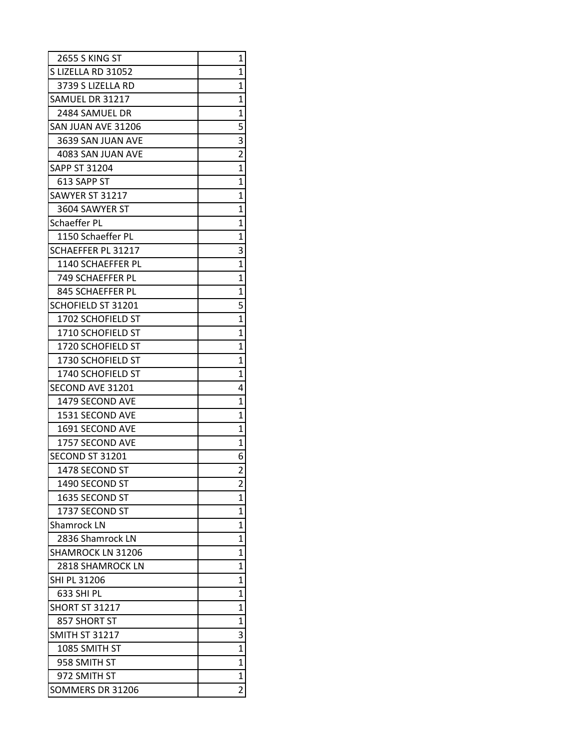| <b>2655 S KING ST</b>    | 1              |
|--------------------------|----------------|
| S LIZELLA RD 31052       | 1              |
| 3739 S LIZELLA RD        | 1              |
| SAMUEL DR 31217          | 1              |
| 2484 SAMUEL DR           | 1              |
| SAN JUAN AVE 31206       | 5              |
| 3639 SAN JUAN AVE        | 3              |
| 4083 SAN JUAN AVE        | $\overline{2}$ |
| SAPP ST 31204            | $\overline{1}$ |
| 613 SAPP ST              | 1              |
| SAWYER ST 31217          | 1              |
| 3604 SAWYER ST           | 1              |
| <b>Schaeffer PL</b>      | 1              |
| 1150 Schaeffer PL        | 1              |
| SCHAEFFER PL 31217       | 3              |
| 1140 SCHAEFFER PL        | $\mathbf{1}$   |
| 749 SCHAEFFER PL         | $\overline{1}$ |
| 845 SCHAEFFER PL         | 1              |
| SCHOFIELD ST 31201       | 5              |
| 1702 SCHOFIELD ST        | 1              |
| 1710 SCHOFIELD ST        | $\overline{1}$ |
| 1720 SCHOFIELD ST        | 1              |
| 1730 SCHOFIELD ST        | 1              |
| 1740 SCHOFIELD ST        | 1              |
| SECOND AVE 31201         | 4              |
| 1479 SECOND AVE          | $\overline{1}$ |
| 1531 SECOND AVE          | 1              |
| 1691 SECOND AVE          | 1              |
| 1757 SECOND AVE          | 1              |
| SECOND ST 31201          | 6              |
| 1478 SECOND ST           | $\overline{2}$ |
| 1490 SECOND ST           | 2              |
| 1635 SECOND ST           | 1              |
| 1737 SECOND ST           | 1              |
| <b>Shamrock LN</b>       | 1              |
| 2836 Shamrock LN         | 1              |
| <b>SHAMROCK LN 31206</b> | 1              |
| 2818 SHAMROCK LN         | 1              |
| SHI PL 31206             | 1              |
| 633 SHI PL               | 1              |
| <b>SHORT ST 31217</b>    | 1              |
| 857 SHORT ST             | 1              |
| <b>SMITH ST 31217</b>    | 3              |
| 1085 SMITH ST            | $\overline{1}$ |
| 958 SMITH ST             | 1              |
| 972 SMITH ST             | 1              |
| SOMMERS DR 31206         | $\overline{2}$ |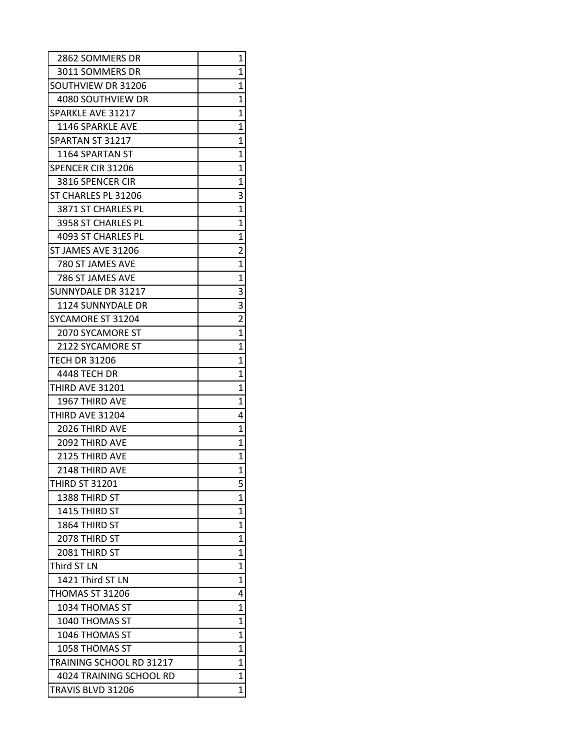| 2862 SOMMERS DR          | 1                       |
|--------------------------|-------------------------|
| 3011 SOMMERS DR          | 1                       |
| SOUTHVIEW DR 31206       | 1                       |
| 4080 SOUTHVIEW DR        | 1                       |
| SPARKLE AVE 31217        | 1                       |
| 1146 SPARKLE AVE         | 1                       |
| SPARTAN ST 31217         | 1                       |
| 1164 SPARTAN ST          | 1                       |
| <b>SPENCER CIR 31206</b> | 1                       |
| 3816 SPENCER CIR         | 1                       |
| ST CHARLES PL 31206      | 3                       |
| 3871 ST CHARLES PL       | 1                       |
| 3958 ST CHARLES PL       | 1                       |
| 4093 ST CHARLES PL       | 1                       |
| ST JAMES AVE 31206       | $\overline{\mathbf{c}}$ |
| 780 ST JAMES AVE         | $\mathbf{1}$            |
| 786 ST JAMES AVE         | 1                       |
| SUNNYDALE DR 31217       | 3                       |
| 1124 SUNNYDALE DR        | 3                       |
| SYCAMORE ST 31204        | $\overline{2}$          |
| 2070 SYCAMORE ST         | $\overline{1}$          |
| 2122 SYCAMORE ST         | $\overline{1}$          |
| <b>TECH DR 31206</b>     | 1                       |
| 4448 TECH DR             | 1                       |
| THIRD AVE 31201          | 1                       |
| 1967 THIRD AVE           | 1                       |
| THIRD AVE 31204          | 4                       |
| 2026 THIRD AVE           | 1                       |
| 2092 THIRD AVE           | 1                       |
| 2125 THIRD AVE           | 1                       |
| 2148 THIRD AVE           | $\overline{1}$          |
| <b>THIRD ST 31201</b>    | 5                       |
| 1388 THIRD ST            | 1                       |
| 1415 THIRD ST            | 1                       |
| 1864 THIRD ST            | 1                       |
| 2078 THIRD ST            | 1                       |
| 2081 THIRD ST            | 1                       |
| Third ST LN              | $\overline{1}$          |
| 1421 Third ST LN         | 1                       |
| THOMAS ST 31206          | 4                       |
| 1034 THOMAS ST           | 1                       |
| 1040 THOMAS ST           | 1                       |
| 1046 THOMAS ST           | 1                       |
| 1058 THOMAS ST           | 1                       |
| TRAINING SCHOOL RD 31217 | 1                       |
| 4024 TRAINING SCHOOL RD  | 1                       |
| TRAVIS BLVD 31206        | 1                       |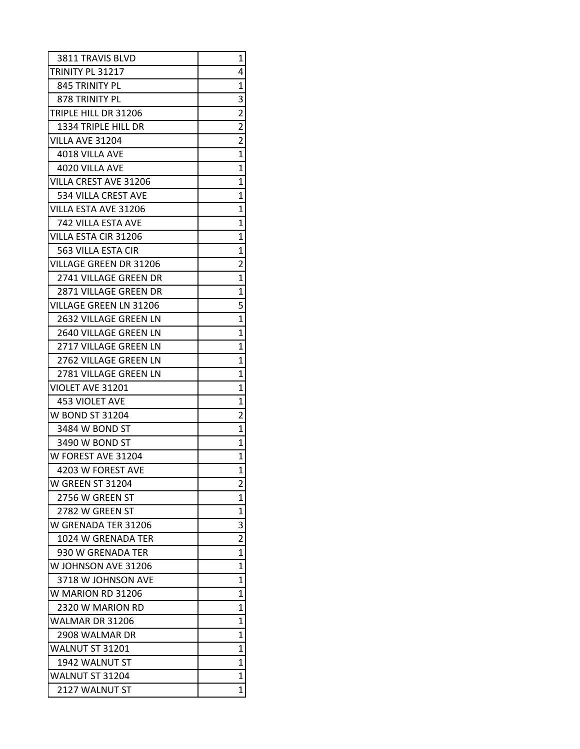| 3811 TRAVIS BLVD              | 1                       |
|-------------------------------|-------------------------|
| TRINITY PL 31217              | 4                       |
| 845 TRINITY PL                | 1                       |
| 878 TRINITY PL                | 3                       |
| TRIPLE HILL DR 31206          | $\overline{c}$          |
| 1334 TRIPLE HILL DR           | $\overline{\mathbf{c}}$ |
| VILLA AVE 31204               | $\overline{2}$          |
| 4018 VILLA AVE                | $\overline{1}$          |
| 4020 VILLA AVE                | 1                       |
| VILLA CREST AVE 31206         | 1                       |
| 534 VILLA CREST AVE           | 1                       |
| VILLA ESTA AVE 31206          | 1                       |
| 742 VILLA ESTA AVE            | 1                       |
| VILLA ESTA CIR 31206          | 1                       |
| 563 VILLA ESTA CIR            | 1                       |
| <b>VILLAGE GREEN DR 31206</b> | $\overline{2}$          |
| 2741 VILLAGE GREEN DR         | 1                       |
| <b>2871 VILLAGE GREEN DR</b>  | 1                       |
| <b>VILLAGE GREEN LN 31206</b> | 5                       |
| 2632 VILLAGE GREEN LN         | 1                       |
| <b>2640 VILLAGE GREEN LN</b>  | $\overline{1}$          |
| 2717 VILLAGE GREEN LN         | 1                       |
| 2762 VILLAGE GREEN LN         | 1                       |
| 2781 VILLAGE GREEN LN         | 1                       |
| VIOLET AVE 31201              | 1                       |
| <b>453 VIOLET AVE</b>         | 1                       |
| W BOND ST 31204               | $\overline{c}$          |
| 3484 W BOND ST                | 1                       |
| 3490 W BOND ST                | 1                       |
| W FOREST AVE 31204            | 1                       |
| 4203 W FOREST AVE             | 1                       |
| <b>W GREEN ST 31204</b>       | 2                       |
| 2756 W GREEN ST               | 1                       |
| 2782 W GREEN ST               | 1                       |
| W GRENADA TER 31206           | 3                       |
| 1024 W GRENADA TER            | $\overline{c}$          |
| 930 W GRENADA TER             | 1                       |
| W JOHNSON AVE 31206           | 1                       |
| 3718 W JOHNSON AVE            | $\overline{1}$          |
| W MARION RD 31206             | 1                       |
| 2320 W MARION RD              | 1                       |
| WALMAR DR 31206               | 1                       |
| 2908 WALMAR DR                | 1                       |
| WALNUT ST 31201               | 1                       |
| 1942 WALNUT ST                | 1                       |
| WALNUT ST 31204               | 1                       |
| 2127 WALNUT ST                | 1                       |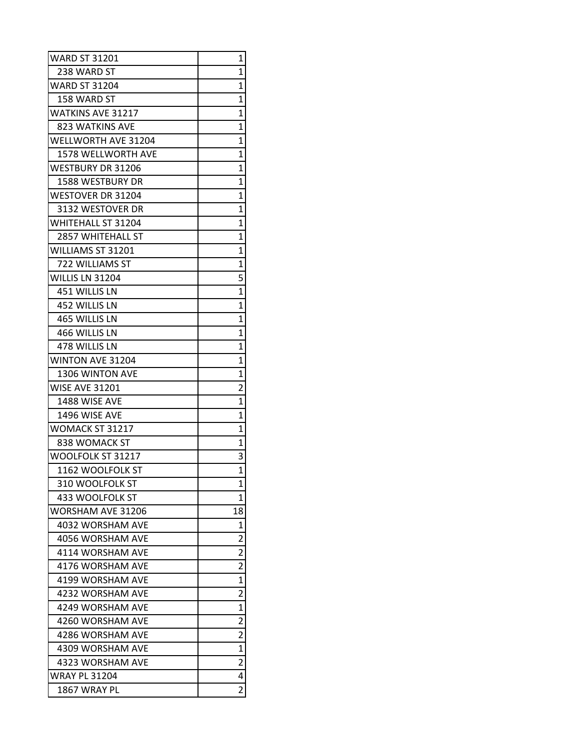| <b>WARD ST 31201</b>       | 1                       |
|----------------------------|-------------------------|
| 238 WARD ST                | 1                       |
| <b>WARD ST 31204</b>       | 1                       |
| 158 WARD ST                | 1                       |
| WATKINS AVE 31217          | 1                       |
| 823 WATKINS AVE            | 1                       |
| <b>WELLWORTH AVE 31204</b> | 1                       |
| <b>1578 WELLWORTH AVE</b>  | 1                       |
| <b>WESTBURY DR 31206</b>   | 1                       |
| <b>1588 WESTBURY DR</b>    | 1                       |
| <b>WESTOVER DR 31204</b>   | $\overline{1}$          |
| 3132 WESTOVER DR           | $\overline{1}$          |
| <b>WHITEHALL ST 31204</b>  | 1                       |
| <b>2857 WHITEHALL ST</b>   | 1                       |
| WILLIAMS ST 31201          | 1                       |
| 722 WILLIAMS ST            | 1                       |
| WILLIS LN 31204            | 5                       |
| 451 WILLIS LN              | $\overline{1}$          |
| 452 WILLIS LN              | 1                       |
| 465 WILLIS LN              | 1                       |
| 466 WILLIS LN              | 1                       |
| 478 WILLIS LN              | 1                       |
| <b>WINTON AVE 31204</b>    | 1                       |
| 1306 WINTON AVE            | 1                       |
| <b>WISE AVE 31201</b>      | $\overline{2}$          |
| 1488 WISE AVE              | 1                       |
| 1496 WISE AVE              | 1                       |
| WOMACK ST 31217            | 1                       |
| 838 WOMACK ST              | 1                       |
| WOOLFOLK ST 31217          | 3                       |
| 1162 WOOLFOLK ST           | $\overline{1}$          |
| 310 WOOLFOLK ST            | 1                       |
| 433 WOOLFOLK ST            | $\mathbf{1}$            |
| <b>WORSHAM AVE 31206</b>   | 18                      |
| 4032 WORSHAM AVE           | 1                       |
| 4056 WORSHAM AVE           | 2                       |
| 4114 WORSHAM AVE           | $\overline{c}$          |
| 4176 WORSHAM AVE           | $\overline{\mathbf{c}}$ |
| 4199 WORSHAM AVE           | $\overline{1}$          |
| 4232 WORSHAM AVE           | $\overline{2}$          |
| 4249 WORSHAM AVE           | 1                       |
| 4260 WORSHAM AVE           | $\overline{\mathbf{c}}$ |
| 4286 WORSHAM AVE           | $\overline{2}$          |
| 4309 WORSHAM AVE           | $\mathbf{1}$            |
| 4323 WORSHAM AVE           | $\overline{\mathbf{c}}$ |
| <b>WRAY PL 31204</b>       | 4                       |
| 1867 WRAY PL               | $\overline{\mathbf{c}}$ |